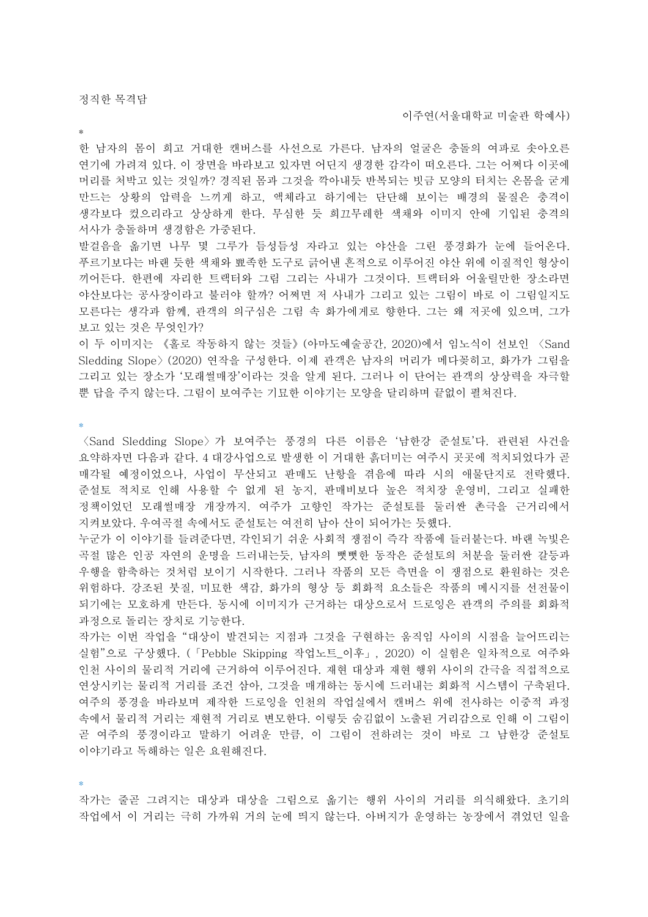\*

한 남자의 몸이 희고 거대한 캔버스를 사선으로 가른다. 남자의 얼굴은 충돌의 여파로 솟아오른 연기에 가려져 있다. 이 장면을 바라보고 있자면 어딘지 생경한 감각이 떠오른다. 그는 어쩌다 이곳에 머리를 처박고 있는 것일까? 경직된 몸과 그것을 깍아내듯 반복되는 빗금 모양의 터치는 온몸을 굳게 만드는 상황의 압력을 느끼게 하고, 액체라고 하기에는 단단해 보이는 배경의 물질은 충격이 생각보다 컸으리라고 상상하게 한다. 무심한 듯 희끄무레한 색채와 이미지 안에 기입된 충격의 서사가 충돌하며 생경함은 가중된다.

발걸음을 옮기면 나무 몇 그루가 듬성듬성 자라고 있는 야산을 그린 풍경화가 눈에 들어온다. 푸르기보다는 바랜 듯한 색채와 뾰족한 도구로 긁어낸 흔적으로 이루어진 야산 위에 이질적인 형상이 끼어든다. 한편에 자리한 트랙터와 그림 그리는 사내가 그것이다. 트랙터와 어울릴만한 장소라면 야산보다는 공사장이라고 불러야 할까? 어쩌면 저 사내가 그리고 있는 그림이 바로 이 그림일지도 모른다는 생각과 함께, 관객의 의구심은 그림 속 화가에게로 향한다. 그는 왜 저곳에 있으며, 그가 보고 있는 것은 무엇인가?

이 두 이미지는 《홀로 작동하지 않는 것들》(아마도예술공간, 2020)에서 임노식이 선보인 〈Sand Sledding Slope〉(2020) 연작을 구성한다. 이제 관객은 남자의 머리가 메다꽂히고, 화가가 그림을 그리고 있는 장소가 '모래썰매장'이라는 것을 알게 된다. 그러나 이 단어는 관객의 상상력을 자극할 뿐 답을 주지 않는다. 그림이 보여주는 기묘한 이야기는 모양을 달리하며 끝없이 펼쳐진다.

\*

〈Sand Sledding Slope〉가 보여주는 풍경의 다른 이름은 '남한강 준설토'다. 관련된 사건을 요약하자면 다음과 같다. 4 대강사업으로 발생한 이 거대한 흙더미는 여주시 곳곳에 적치되었다가 곧 매각될 예정이었으나, 사업이 무산되고 판매도 난항을 겪음에 따라 시의 애물단지로 전락했다. 준설토 적치로 인해 사용할 수 없게 된 농지, 판매비보다 높은 적치장 운영비, 그리고 실패한 정책이었던 모래썰매장 개장까지. 여주가 고향인 작가는 준설토를 둘러싼 촌극을 근거리에서 지켜보았다. 우여곡절 속에서도 준설토는 여전히 남아 산이 되어가는 듯했다.

누군가 이 이야기를 들려준다면, 각인되기 쉬운 사회적 쟁점이 즉각 작품에 들러붙는다. 바랜 녹빛은 곡절 많은 인공 자연의 운명을 드러내는듯, 남자의 뻣뻣한 동작은 준설토의 처분을 둘러싼 갈등과 우행을 함축하는 것처럼 보이기 시작한다. 그러나 작품의 모든 측면을 이 쟁점으로 환원하는 것은 위험하다. 강조된 붓질, 미묘한 색감, 화가의 형상 등 회화적 요소들은 작품의 메시지를 선전물이 되기에는 모호하게 만든다. 동시에 이미지가 근거하는 대상으로서 드로잉은 관객의 주의를 회화적 과정으로 돌리는 장치로 기능한다.

작가는 이번 작업을 "대상이 발견되는 지점과 그것을 구현하는 움직임 사이의 시점을 늘어뜨리는 실험"으로 구상했다. (「Pebble Skipping 작업노트\_이후」, 2020) 이 실험은 일차적으로 여주와 인천 사이의 물리적 거리에 근거하여 이루어진다. 재현 대상과 재현 행위 사이의 간극을 직접적으로 연상시키는 물리적 거리를 조건 삼아, 그것을 매개하는 동시에 드러내는 회화적 시스템이 구축된다. 여주의 풍경을 바라보며 제작한 드로잉을 인천의 작업실에서 캔버스 위에 전사하는 이중적 과정 속에서 물리적 거리는 재현적 거리로 변모한다. 이렇듯 숨김없이 노출된 거리감으로 인해 이 그림이 곧 여주의 풍경이라고 말하기 어려운 만큼, 이 그림이 전하려는 것이 바로 그 남한강 준설토 이야기라고 독해하는 일은 요원해진다.

\*

작가는 줄곧 그려지는 대상과 대상을 그림으로 옮기는 행위 사이의 거리를 의식해왔다. 초기의 작업에서 이 거리는 극히 가까워 거의 눈에 띄지 않는다. 아버지가 운영하는 농장에서 겪었던 일을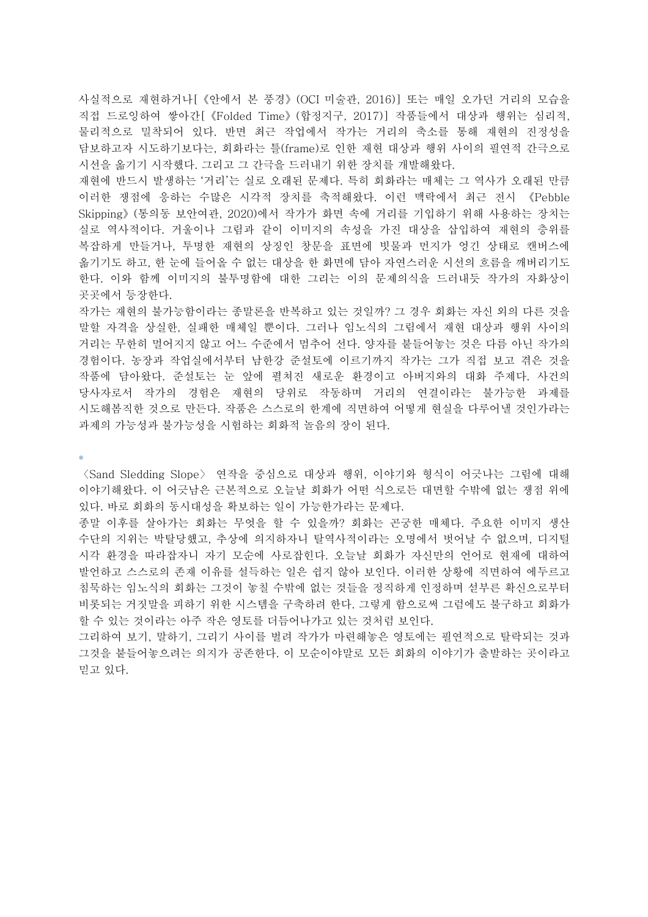사실적으로 재현하거나[《안에서 본 풍경》(OCI 미술관, 2016)] 또는 매일 오가던 거리의 모습을 직접 드로잉하여 쌓아간[《Folded Time》(합정지구, 2017)] 작품들에서 대상과 행위는 심리적, 물리적으로 밀착되어 있다. 반면 최근 작업에서 작가는 거리의 축소를 통해 재현의 진정성을 담보하고자 시도하기보다는, 회화라는 틀(frame)로 인한 재현 대상과 행위 사이의 필연적 간극으로 시선을 옮기기 시작했다. 그리고 그 간극을 드러내기 위한 장치를 개발해왔다.

재현에 반드시 발생하는 '거리'는 실로 오래된 문제다. 특히 회화라는 매체는 그 역사가 오래된 만큼 이러한 쟁점에 응하는 수많은 시각적 장치를 축적해왔다. 이런 맥락에서 최근 전시 《Pebble Skipping》(통의동 보안여관, 2020)에서 작가가 화면 속에 거리를 기입하기 위해 사용하는 장치는 실로 역사적이다. 거울이나 그림과 같이 이미지의 속성을 가진 대상을 삽입하여 재현의 층위를 복잡하게 만들거나, 투명한 재현의 상징인 창문을 표면에 빗물과 먼지가 엉긴 상태로 캔버스에 옮기기도 하고, 한 눈에 들어올 수 없는 대상을 한 화면에 담아 자연스러운 시선의 흐름을 깨버리기도 한다. 이와 함께 이미지의 불투명함에 대한 그리는 이의 문제의식을 드러내듯 작가의 자화상이 곳곳에서 등장한다.

작가는 재현의 불가능함이라는 종말론을 반복하고 있는 것일까? 그 경우 회화는 자신 외의 다른 것을 말할 자격을 상실한, 실패한 매체일 뿐이다. 그러나 임노식의 그림에서 재현 대상과 행위 사이의 거리는 무한히 멀어지지 않고 어느 수준에서 멈추어 선다. 양자를 붙들어놓는 것은 다름 아닌 작가의 경험이다. 농장과 작업실에서부터 남한강 준설토에 이르기까지 작가는 그가 직접 보고 겪은 것을 작품에 담아왔다. 준설토는 눈 앞에 펼쳐진 새로운 환경이고 아버지와의 대화 주제다. 사건의 당사자로서 작가의 경험은 재현의 당위로 작동하며 거리의 연결이라는 불가능한 과제를 시도해봄직한 것으로 만든다. 작품은 스스로의 한계에 직면하여 어떻게 현실을 다루어낼 것인가라는 과제의 가능성과 불가능성을 시험하는 회화적 놀음의 장이 된다.

\*

〈Sand Sledding Slope〉 연작을 중심으로 대상과 행위, 이야기와 형식이 어긋나는 그림에 대해 이야기해왔다. 이 어긋남은 근본적으로 오늘날 회화가 어떤 식으로든 대면할 수밖에 없는 쟁점 위에 있다. 바로 회화의 동시대성을 확보하는 일이 가능한가라는 문제다.

종말 이후를 살아가는 회화는 무엇을 할 수 있을까? 회화는 곤궁한 매체다. 주요한 이미지 생산 수단의 지위는 박탈당했고, 추상에 의지하자니 탈역사적이라는 오명에서 벗어날 수 없으며, 디지털 시각 환경을 따라잡자니 자기 모순에 사로잡힌다. 오늘날 회화가 자신만의 언어로 현재에 대하여 발언하고 스스로의 존재 이유를 설득하는 일은 쉽지 않아 보인다. 이러한 상황에 직면하여 에두르고 침묵하는 임노식의 회화는 그것이 놓칠 수밖에 없는 것들을 정직하게 인정하며 섣부른 확신으로부터 비롯되는 거짓말을 피하기 위한 시스템을 구축하려 한다. 그렇게 함으로써 그럼에도 불구하고 회화가 할 수 있는 것이라는 아주 작은 영토를 더듬어나가고 있는 것처럼 보인다.

그리하여 보기, 말하기, 그리기 사이를 벌려 작가가 마련해놓은 영토에는 필연적으로 탈락되는 것과 그것을 붙들어놓으려는 의지가 공존한다. 이 모순이야말로 모든 회화의 이야기가 출발하는 곳이라고 믿고 있다.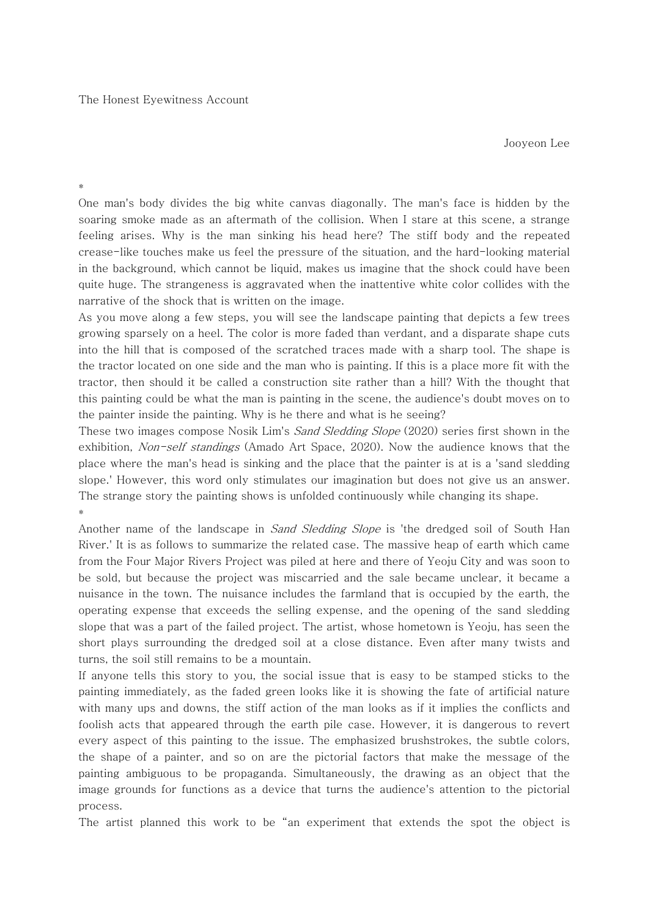Jooyeon Lee

\*

One man's body divides the big white canvas diagonally. The man's face is hidden by the soaring smoke made as an aftermath of the collision. When I stare at this scene, a strange feeling arises. Why is the man sinking his head here? The stiff body and the repeated crease-like touches make us feel the pressure of the situation, and the hard-looking material in the background, which cannot be liquid, makes us imagine that the shock could have been quite huge. The strangeness is aggravated when the inattentive white color collides with the narrative of the shock that is written on the image.

As you move along a few steps, you will see the landscape painting that depicts a few trees growing sparsely on a heel. The color is more faded than verdant, and a disparate shape cuts into the hill that is composed of the scratched traces made with a sharp tool. The shape is the tractor located on one side and the man who is painting. If this is a place more fit with the tractor, then should it be called a construction site rather than a hill? With the thought that this painting could be what the man is painting in the scene, the audience's doubt moves on to the painter inside the painting. Why is he there and what is he seeing?

These two images compose Nosik Lim's *Sand Sledding Slope* (2020) series first shown in the exhibition, Non-self standings (Amado Art Space, 2020). Now the audience knows that the place where the man's head is sinking and the place that the painter is at is a 'sand sledding slope.' However, this word only stimulates our imagination but does not give us an answer. The strange story the painting shows is unfolded continuously while changing its shape. \*

Another name of the landscape in *Sand Sledding Slope* is 'the dredged soil of South Han River.' It is as follows to summarize the related case. The massive heap of earth which came from the Four Major Rivers Project was piled at here and there of Yeoju City and was soon to be sold, but because the project was miscarried and the sale became unclear, it became a nuisance in the town. The nuisance includes the farmland that is occupied by the earth, the operating expense that exceeds the selling expense, and the opening of the sand sledding slope that was a part of the failed project. The artist, whose hometown is Yeoju, has seen the short plays surrounding the dredged soil at a close distance. Even after many twists and turns, the soil still remains to be a mountain.

If anyone tells this story to you, the social issue that is easy to be stamped sticks to the painting immediately, as the faded green looks like it is showing the fate of artificial nature with many ups and downs, the stiff action of the man looks as if it implies the conflicts and foolish acts that appeared through the earth pile case. However, it is dangerous to revert every aspect of this painting to the issue. The emphasized brushstrokes, the subtle colors, the shape of a painter, and so on are the pictorial factors that make the message of the painting ambiguous to be propaganda. Simultaneously, the drawing as an object that the image grounds for functions as a device that turns the audience's attention to the pictorial process.

The artist planned this work to be "an experiment that extends the spot the object is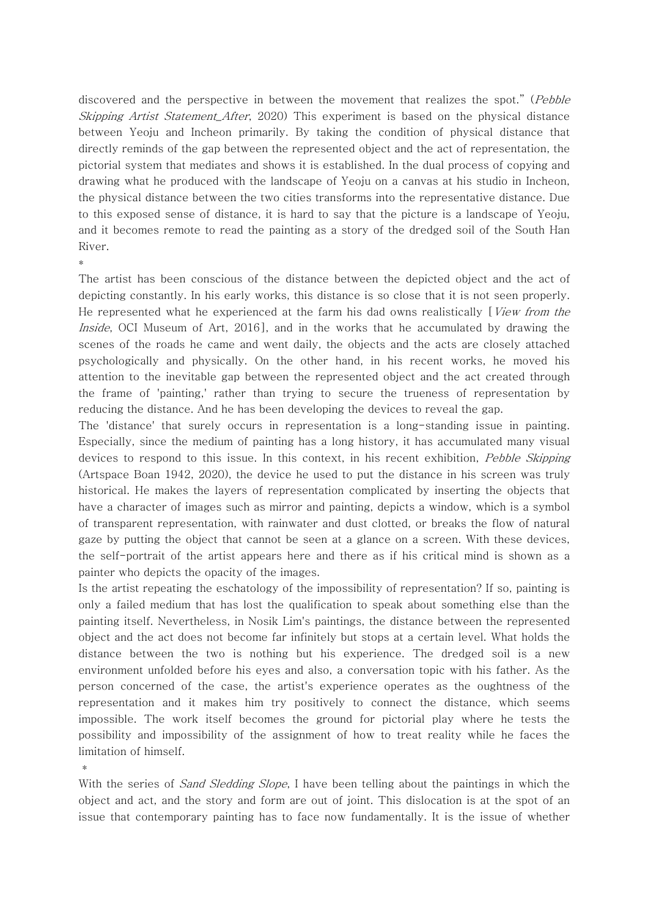discovered and the perspective in between the movement that realizes the spot." (Pebble Skipping Artist Statement After, 2020) This experiment is based on the physical distance between Yeoju and Incheon primarily. By taking the condition of physical distance that directly reminds of the gap between the represented object and the act of representation, the pictorial system that mediates and shows it is established. In the dual process of copying and drawing what he produced with the landscape of Yeoju on a canvas at his studio in Incheon, the physical distance between the two cities transforms into the representative distance. Due to this exposed sense of distance, it is hard to say that the picture is a landscape of Yeoju, and it becomes remote to read the painting as a story of the dredged soil of the South Han River.

\*

The artist has been conscious of the distance between the depicted object and the act of depicting constantly. In his early works, this distance is so close that it is not seen properly. He represented what he experienced at the farm his dad owns realistically  $\sqrt{V}$  *View from the* Inside, OCI Museum of Art, 2016], and in the works that he accumulated by drawing the scenes of the roads he came and went daily, the objects and the acts are closely attached psychologically and physically. On the other hand, in his recent works, he moved his attention to the inevitable gap between the represented object and the act created through the frame of 'painting,' rather than trying to secure the trueness of representation by reducing the distance. And he has been developing the devices to reveal the gap.

The 'distance' that surely occurs in representation is a long-standing issue in painting. Especially, since the medium of painting has a long history, it has accumulated many visual devices to respond to this issue. In this context, in his recent exhibition, Pebble Skipping (Artspace Boan 1942, 2020), the device he used to put the distance in his screen was truly historical. He makes the layers of representation complicated by inserting the objects that have a character of images such as mirror and painting, depicts a window, which is a symbol of transparent representation, with rainwater and dust clotted, or breaks the flow of natural gaze by putting the object that cannot be seen at a glance on a screen. With these devices, the self-portrait of the artist appears here and there as if his critical mind is shown as a painter who depicts the opacity of the images.

Is the artist repeating the eschatology of the impossibility of representation? If so, painting is only a failed medium that has lost the qualification to speak about something else than the painting itself. Nevertheless, in Nosik Lim's paintings, the distance between the represented object and the act does not become far infinitely but stops at a certain level. What holds the distance between the two is nothing but his experience. The dredged soil is a new environment unfolded before his eyes and also, a conversation topic with his father. As the person concerned of the case, the artist's experience operates as the oughtness of the representation and it makes him try positively to connect the distance, which seems impossible. The work itself becomes the ground for pictorial play where he tests the possibility and impossibility of the assignment of how to treat reality while he faces the limitation of himself.

\*

With the series of *Sand Sledding Slope*, I have been telling about the paintings in which the object and act, and the story and form are out of joint. This dislocation is at the spot of an issue that contemporary painting has to face now fundamentally. It is the issue of whether